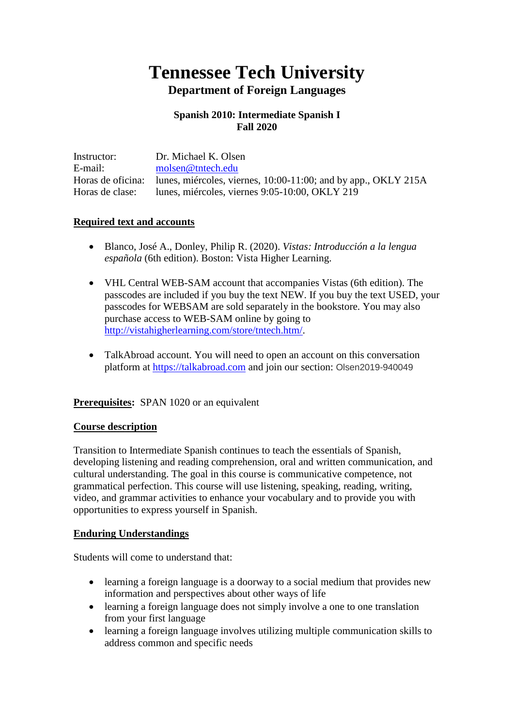# **Tennessee Tech University Department of Foreign Languages**

## **Spanish 2010: Intermediate Spanish I Fall 2020**

Instructor: Dr. Michael K. Olsen E-mail: [molsen@tntech.edu](mailto:molsen@tntech.edu) Horas de oficina: lunes, miércoles, viernes, 10:00-11:00; and by app., OKLY 215A Horas de clase: lunes, miércoles, viernes 9:05-10:00, OKLY 219

## **Required text and accounts**

- Blanco, José A., Donley, Philip R. (2020). *Vistas: Introducción a la lengua española* (6th edition). Boston: Vista Higher Learning.
- VHL Central WEB-SAM account that accompanies Vistas (6th edition). The passcodes are included if you buy the text NEW. If you buy the text USED, your passcodes for WEBSAM are sold separately in the bookstore. You may also purchase access to WEB-SAM online by going to [http://vistahigherlearning.com/store/tntech.htm/.](http://vistahigherlearning.com/store/tntech.htm/)
- TalkAbroad account. You will need to open an account on this conversation platform at [https://talkabroad.com](https://talkabroad.com/) and join our section: Olsen2019-940049

## **Prerequisites:** SPAN 1020 or an equivalent

#### **Course description**

Transition to Intermediate Spanish continues to teach the essentials of Spanish, developing listening and reading comprehension, oral and written communication, and cultural understanding. The goal in this course is communicative competence, not grammatical perfection. This course will use listening, speaking, reading, writing, video, and grammar activities to enhance your vocabulary and to provide you with opportunities to express yourself in Spanish.

#### **Enduring Understandings**

Students will come to understand that:

- learning a foreign language is a doorway to a social medium that provides new information and perspectives about other ways of life
- learning a foreign language does not simply involve a one to one translation from your first language
- learning a foreign language involves utilizing multiple communication skills to address common and specific needs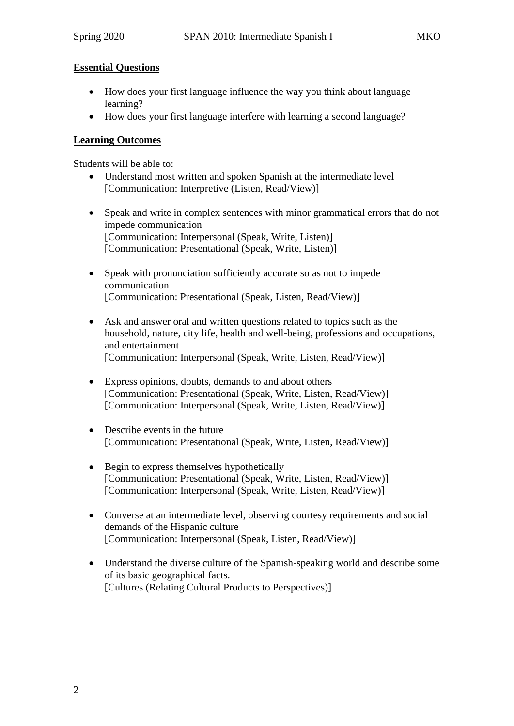## **Essential Questions**

- How does your first language influence the way you think about language learning?
- How does your first language interfere with learning a second language?

## **Learning Outcomes**

Students will be able to:

- Understand most written and spoken Spanish at the intermediate level [Communication: Interpretive (Listen, Read/View)]
- Speak and write in complex sentences with minor grammatical errors that do not impede communication [Communication: Interpersonal (Speak, Write, Listen)] [Communication: Presentational (Speak, Write, Listen)]
- Speak with pronunciation sufficiently accurate so as not to impede communication [Communication: Presentational (Speak, Listen, Read/View)]
- Ask and answer oral and written questions related to topics such as the household, nature, city life, health and well-being, professions and occupations, and entertainment [Communication: Interpersonal (Speak, Write, Listen, Read/View)]
- Express opinions, doubts, demands to and about others [Communication: Presentational (Speak, Write, Listen, Read/View)] [Communication: Interpersonal (Speak, Write, Listen, Read/View)]
- Describe events in the future [Communication: Presentational (Speak, Write, Listen, Read/View)]
- Begin to express themselves hypothetically [Communication: Presentational (Speak, Write, Listen, Read/View)] [Communication: Interpersonal (Speak, Write, Listen, Read/View)]
- Converse at an intermediate level, observing courtesy requirements and social demands of the Hispanic culture [Communication: Interpersonal (Speak, Listen, Read/View)]
- Understand the diverse culture of the Spanish-speaking world and describe some of its basic geographical facts. [Cultures (Relating Cultural Products to Perspectives)]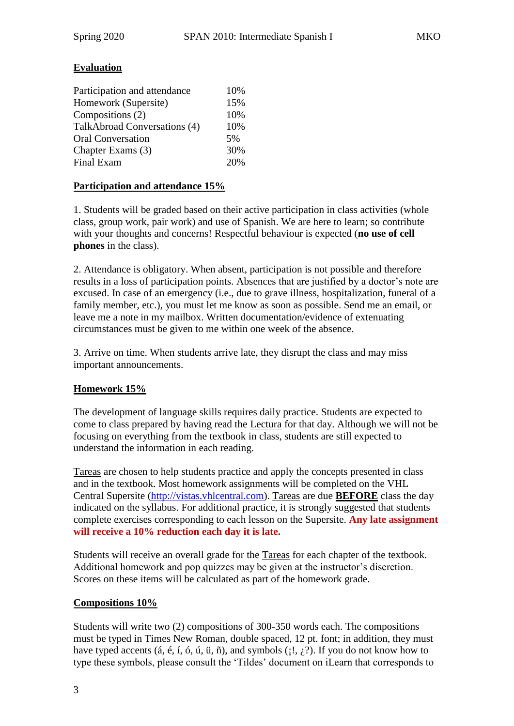## **Evaluation**

| Participation and attendance | 10% |
|------------------------------|-----|
| Homework (Supersite)         | 15% |
| Compositions (2)             | 10% |
| TalkAbroad Conversations (4) | 10% |
| <b>Oral Conversation</b>     | 5%  |
| Chapter Exams (3)            | 30% |
| Final Exam                   | 20% |

## **Participation and attendance 15%**

1. Students will be graded based on their active participation in class activities (whole class, group work, pair work) and use of Spanish. We are here to learn; so contribute with your thoughts and concerns! Respectful behaviour is expected (**no use of cell phones** in the class).

2. Attendance is obligatory. When absent, participation is not possible and therefore results in a loss of participation points. Absences that are justified by a doctor's note are excused. In case of an emergency (i.e., due to grave illness, hospitalization, funeral of a family member, etc.), you must let me know as soon as possible. Send me an email, or leave me a note in my mailbox. Written documentation/evidence of extenuating circumstances must be given to me within one week of the absence.

3. Arrive on time. When students arrive late, they disrupt the class and may miss important announcements.

## **Homework 15%**

The development of language skills requires daily practice. Students are expected to come to class prepared by having read the Lectura for that day. Although we will not be focusing on everything from the textbook in class, students are still expected to understand the information in each reading.

Tareas are chosen to help students practice and apply the concepts presented in class and in the textbook. Most homework assignments will be completed on the VHL Central Supersite [\(http://vistas.vhlcentral.com\)](http://vistas.vhlcentral.com/). Tareas are due **BEFORE** class the day indicated on the syllabus. For additional practice, it is strongly suggested that students complete exercises corresponding to each lesson on the Supersite. **Any late assignment will receive a 10% reduction each day it is late.**

Students will receive an overall grade for the Tareas for each chapter of the textbook. Additional homework and pop quizzes may be given at the instructor's discretion. Scores on these items will be calculated as part of the homework grade.

## **Compositions 10%**

Students will write two (2) compositions of 300-350 words each. The compositions must be typed in Times New Roman, double spaced, 12 pt. font; in addition, they must have typed accents (*á*, é, í, ó, ú, ü, ñ), and symbols ( $:$ ,  $:$ ). If you do not know how to type these symbols, please consult the 'Tildes' document on iLearn that corresponds to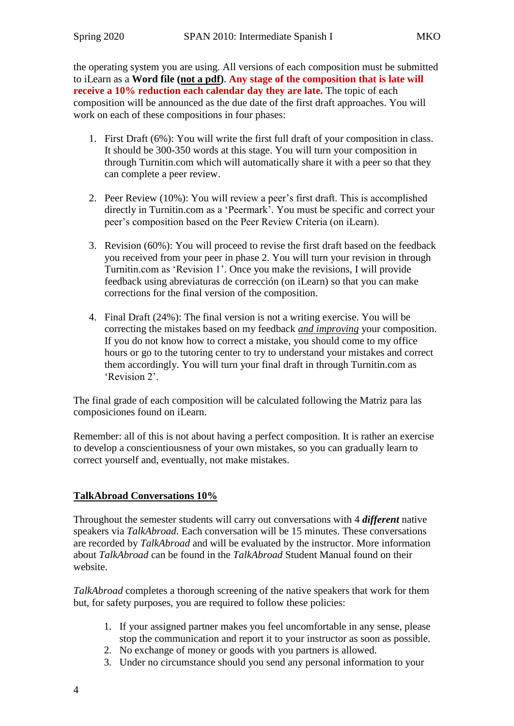the operating system you are using. All versions of each composition must be submitted to iLearn as a **Word file (not a pdf)**. **Any stage of the composition that is late will receive a 10% reduction each calendar day they are late.** The topic of each composition will be announced as the due date of the first draft approaches. You will work on each of these compositions in four phases:

- 1. First Draft (6%): You will write the first full draft of your composition in class. It should be 300-350 words at this stage. You will turn your composition in through Turnitin.com which will automatically share it with a peer so that they can complete a peer review.
- 2. Peer Review (10%): You will review a peer's first draft. This is accomplished directly in Turnitin.com as a 'Peermark'. You must be specific and correct your peer's composition based on the Peer Review Criteria (on iLearn).
- 3. Revision (60%): You will proceed to revise the first draft based on the feedback you received from your peer in phase 2. You will turn your revision in through Turnitin.com as 'Revision 1'. Once you make the revisions, I will provide feedback using abreviaturas de corrección (on iLearn) so that you can make corrections for the final version of the composition.
- 4. Final Draft (24%): The final version is not a writing exercise. You will be correcting the mistakes based on my feedback *and improving* your composition. If you do not know how to correct a mistake, you should come to my office hours or go to the tutoring center to try to understand your mistakes and correct them accordingly. You will turn your final draft in through Turnitin.com as 'Revision 2'.

The final grade of each composition will be calculated following the Matriz para las composiciones found on iLearn.

Remember: all of this is not about having a perfect composition. It is rather an exercise to develop a conscientiousness of your own mistakes, so you can gradually learn to correct yourself and, eventually, not make mistakes.

## **TalkAbroad Conversations 10%**

Throughout the semester students will carry out conversations with 4 *different* native speakers via *TalkAbroad*. Each conversation will be 15 minutes. These conversations are recorded by *TalkAbroad* and will be evaluated by the instructor. More information about *TalkAbroad* can be found in the *TalkAbroad* Student Manual found on their website.

*TalkAbroad* completes a thorough screening of the native speakers that work for them but, for safety purposes, you are required to follow these policies:

- 1. If your assigned partner makes you feel uncomfortable in any sense, please stop the communication and report it to your instructor as soon as possible.
- 2. No exchange of money or goods with you partners is allowed.
- 3. Under no circumstance should you send any personal information to your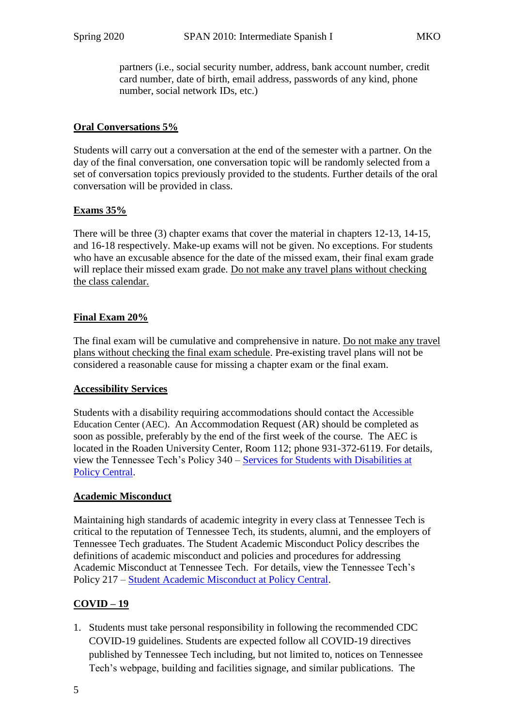partners (i.e., social security number, address, bank account number, credit card number, date of birth, email address, passwords of any kind, phone number, social network IDs, etc.)

## **Oral Conversations 5%**

Students will carry out a conversation at the end of the semester with a partner. On the day of the final conversation, one conversation topic will be randomly selected from a set of conversation topics previously provided to the students. Further details of the oral conversation will be provided in class.

## **Exams 35%**

There will be three (3) chapter exams that cover the material in chapters 12-13, 14-15, and 16-18 respectively. Make-up exams will not be given. No exceptions. For students who have an excusable absence for the date of the missed exam, their final exam grade will replace their missed exam grade. Do not make any travel plans without checking the class calendar.

## **Final Exam 20%**

The final exam will be cumulative and comprehensive in nature. Do not make any travel plans without checking the final exam schedule. Pre-existing travel plans will not be considered a reasonable cause for missing a chapter exam or the final exam.

## **Accessibility Services**

Students with a disability requiring accommodations should contact the Accessible Education Center (AEC). An Accommodation Request (AR) should be completed as soon as possible, preferably by the end of the first week of the course. The AEC is located in the Roaden University Center, Room 112; phone 931-372-6119. For details, view the Tennessee Tech's Policy 340 – [Services for Students with Disabilities at](https://tntech.policytech.com/docview/?docid=1131&public=true)  Policy [Central.](https://tntech.policytech.com/docview/?docid=1131&public=true)

# **Academic Misconduct**

Maintaining high standards of academic integrity in every class at Tennessee Tech is critical to the reputation of Tennessee Tech, its students, alumni, and the employers of Tennessee Tech graduates. The Student Academic Misconduct Policy describes the definitions of academic misconduct and policies and procedures for addressing Academic Misconduct at Tennessee Tech. For details, view the Tennessee Tech's Policy 217 – [Student Academic Misconduct at Policy Central.](https://tntech.policytech.com/dotNet/documents/?docid=701)

# **COVID – 19**

1. Students must take personal responsibility in following the recommended CDC COVID-19 guidelines. Students are expected follow all COVID-19 directives published by Tennessee Tech including, but not limited to, notices on Tennessee Tech's webpage, building and facilities signage, and similar publications. The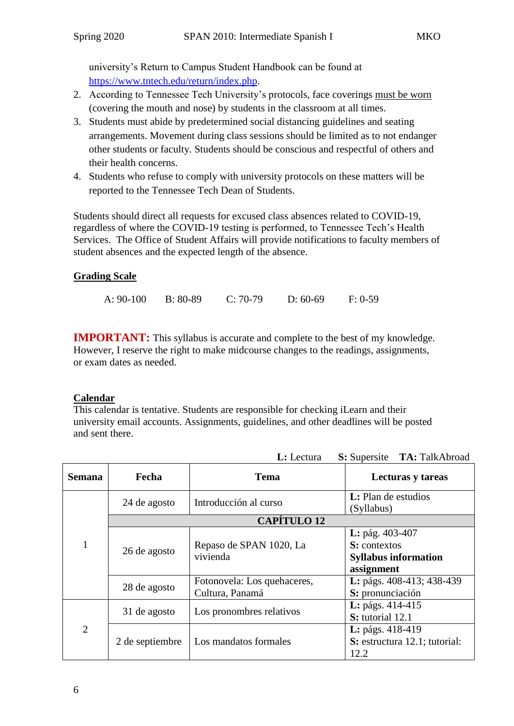university's Return to Campus Student Handbook can be found at [https://www.tntech.edu/return/index.php.](https://www.tntech.edu/return/index.php)

- 2. According to Tennessee Tech University's protocols, face coverings must be worn (covering the mouth and nose) by students in the classroom at all times.
- 3. Students must abide by predetermined social distancing guidelines and seating arrangements. Movement during class sessions should be limited as to not endanger other students or faculty. Students should be conscious and respectful of others and their health concerns.
- 4. Students who refuse to comply with university protocols on these matters will be reported to the Tennessee Tech Dean of Students.

Students should direct all requests for excused class absences related to COVID-19, regardless of where the COVID-19 testing is performed, to Tennessee Tech's Health Services. The Office of Student Affairs will provide notifications to faculty members of student absences and the expected length of the absence.

# **Grading Scale**

A: 90-100 B: 80-89 C: 70-79 D: 60-69 F: 0-59

**IMPORTANT:** This syllabus is accurate and complete to the best of my knowledge. However, I reserve the right to make midcourse changes to the readings, assignments, or exam dates as needed.

# **Calendar**

This calendar is tentative. Students are responsible for checking iLearn and their university email accounts. Assignments, guidelines, and other deadlines will be posted and sent there.

| <b>Semana</b>  | Fecha           | <b>Tema</b>                                                      | <b>Lecturas y tareas</b>      |
|----------------|-----------------|------------------------------------------------------------------|-------------------------------|
|                |                 |                                                                  |                               |
|                | 24 de agosto    | Introducción al curso                                            | <b>L</b> : Plan de estudios   |
|                |                 |                                                                  | (Syllabus)                    |
|                |                 | <b>CAPÍTULO 12</b>                                               |                               |
| $\mathbf{1}$   | 26 de agosto    |                                                                  | L: pág. 403-407               |
|                |                 | Repaso de SPAN 1020, La                                          | S: contextos                  |
|                |                 | vivienda                                                         | <b>Syllabus information</b>   |
|                |                 |                                                                  | assignment                    |
|                |                 | Fotonovela: Los quehaceres,                                      | L: págs. 408-413; 438-439     |
|                | 28 de agosto    | Cultura, Panamá                                                  | S: pronunciación              |
| $\overline{2}$ |                 | L: págs. 414-415<br>Los pronombres relativos<br>S: tutorial 12.1 |                               |
|                | 31 de agosto    |                                                                  |                               |
|                | 2 de septiembre | Los mandatos formales                                            | L: págs. 418-419              |
|                |                 |                                                                  | S: estructura 12.1; tutorial: |
|                |                 |                                                                  | 12.2                          |

**L:** Lectura **S:** Supersite **TA:** TalkAbroad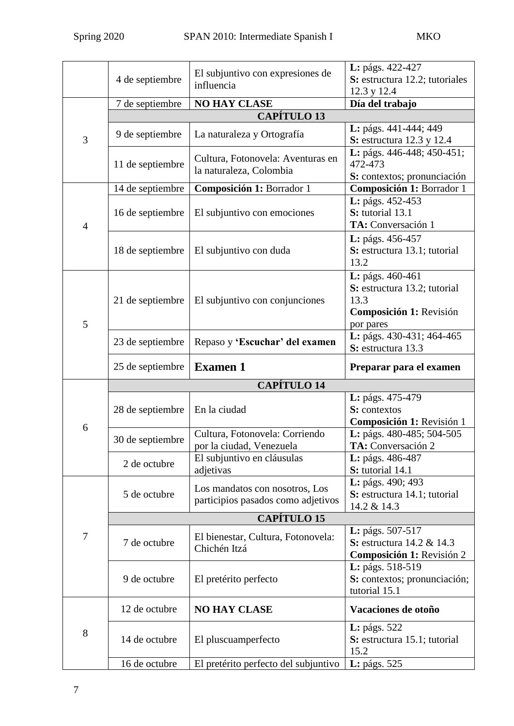|                | 4 de septiembre    | El subjuntivo con expresiones de<br>influencia                       | L: págs. 422-427<br>S: estructura 12.2; tutoriales<br>12.3 y 12.4                                |
|----------------|--------------------|----------------------------------------------------------------------|--------------------------------------------------------------------------------------------------|
|                | 7 de septiembre    | <b>NO HAY CLASE</b>                                                  | Día del trabajo                                                                                  |
|                |                    | <b>CAPÍTULO 13</b>                                                   |                                                                                                  |
| 3              | 9 de septiembre    | La naturaleza y Ortografía                                           | L: págs. 441-444; 449<br><b>S:</b> estructura 12.3 y 12.4                                        |
|                | 11 de septiembre   | Cultura, Fotonovela: Aventuras en<br>la naturaleza, Colombia         | L: págs. 446-448; 450-451;<br>472-473<br>S: contextos; pronunciación                             |
| $\overline{4}$ | 14 de septiembre   | Composición 1: Borrador 1                                            | Composición 1: Borrador 1                                                                        |
|                | 16 de septiembre   | El subjuntivo con emociones                                          | L: págs. 452-453<br>S: tutorial 13.1<br>TA: Conversación 1                                       |
|                | 18 de septiembre   | El subjuntivo con duda                                               | L: págs. 456-457<br>S: estructura 13.1; tutorial<br>13.2                                         |
| 5              | 21 de septiembre   | El subjuntivo con conjunciones                                       | L: págs. 460-461<br>S: estructura 13.2; tutorial<br>13.3<br>Composición 1: Revisión<br>por pares |
|                | 23 de septiembre   | Repaso y 'Escuchar' del examen                                       | L: págs. 430-431; 464-465<br>S: estructura 13.3                                                  |
|                | 25 de septiembre   | <b>Examen 1</b>                                                      | Preparar para el examen                                                                          |
|                | <b>CAPÍTULO 14</b> |                                                                      |                                                                                                  |
|                | 28 de septiembre   | En la ciudad                                                         | L: págs. 475-479<br>S: contextos<br>Composición 1: Revisión 1                                    |
| 6              | 30 de septiembre   | Cultura, Fotonovela: Corriendo<br>por la ciudad, Venezuela           | L: págs. 480-485; 504-505<br>TA: Conversación 2                                                  |
|                | 2 de octubre       | El subjuntivo en cláusulas<br>adjetivas                              | L: págs. 486-487<br>S: tutorial 14.1                                                             |
|                | 5 de octubre       | Los mandatos con nosotros, Los<br>participios pasados como adjetivos | L: págs. 490; 493<br>S: estructura 14.1; tutorial<br>14.2 & 14.3                                 |
|                | <b>CAPÍTULO 15</b> |                                                                      |                                                                                                  |
| $\tau$         | 7 de octubre       | El bienestar, Cultura, Fotonovela:<br>Chichén Itzá                   | L: págs. 507-517<br>S: estructura 14.2 & 14.3<br>Composición 1: Revisión 2                       |
|                | 9 de octubre       | El pretérito perfecto                                                | L: págs. 518-519<br>S: contextos; pronunciación;<br>tutorial 15.1                                |
| 8              | 12 de octubre      | <b>NO HAY CLASE</b>                                                  | Vacaciones de otoño                                                                              |
|                | 14 de octubre      | El pluscuamperfecto                                                  | <b>L</b> : págs. 522<br>S: estructura 15.1; tutorial<br>15.2                                     |
|                | 16 de octubre      | El pretérito perfecto del subjuntivo                                 | <b>L</b> : págs. 525                                                                             |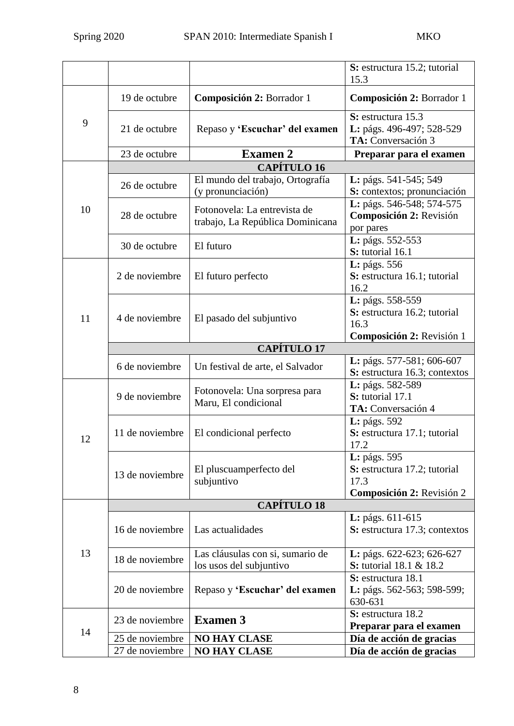|    |                    |                                                                  | S: estructura 15.2; tutorial<br>15.3                                                  |
|----|--------------------|------------------------------------------------------------------|---------------------------------------------------------------------------------------|
| 9  | 19 de octubre      | Composición 2: Borrador 1                                        | Composición 2: Borrador 1                                                             |
|    | 21 de octubre      | Repaso y 'Escuchar' del examen                                   | S: estructura 15.3<br>L: págs. 496-497; 528-529<br>TA: Conversación 3                 |
|    | 23 de octubre      | <b>Examen 2</b>                                                  | Preparar para el examen                                                               |
|    | <b>CAPÍTULO 16</b> |                                                                  |                                                                                       |
| 10 | 26 de octubre      | El mundo del trabajo, Ortografía<br>(y pronunciación)            | L: págs. 541-545; 549<br>S: contextos; pronunciación                                  |
|    | 28 de octubre      | Fotonovela: La entrevista de<br>trabajo, La República Dominicana | L: págs. 546-548; 574-575<br>Composición 2: Revisión<br>por pares                     |
|    | 30 de octubre      | El futuro                                                        | L: págs. 552-553<br>S: tutorial 16.1                                                  |
| 11 | 2 de noviembre     | El futuro perfecto                                               | L: págs. 556<br>S: estructura 16.1; tutorial<br>16.2                                  |
|    | 4 de noviembre     | El pasado del subjuntivo                                         | L: págs. 558-559<br>S: estructura 16.2; tutorial<br>16.3<br>Composición 2: Revisión 1 |
|    |                    | <b>CAPÍTULO 17</b>                                               |                                                                                       |
|    | 6 de noviembre     | Un festival de arte, el Salvador                                 | L: págs. 577-581; 606-607<br>S: estructura 16.3; contextos                            |
| 12 | 9 de noviembre     | Fotonovela: Una sorpresa para<br>Maru, El condicional            | L: págs. 582-589<br>S: tutorial 17.1<br>TA: Conversación 4                            |
|    | 11 de noviembre    | El condicional perfecto                                          | <b>L</b> : págs. 592<br>S: estructura 17.1; tutorial<br>17.2                          |
|    | 13 de noviembre    | El pluscuamperfecto del<br>subjuntivo                            | L: págs. 595<br>S: estructura 17.2; tutorial<br>17.3<br>Composición 2: Revisión 2     |
|    | <b>CAPÍTULO 18</b> |                                                                  |                                                                                       |
| 13 | 16 de noviembre    | Las actualidades                                                 | L: págs. 611-615<br>S: estructura 17.3; contextos                                     |
|    | 18 de noviembre    | Las cláusulas con si, sumario de<br>los usos del subjuntivo      | L: págs. 622-623; 626-627<br><b>S:</b> tutorial 18.1 & 18.2                           |
|    | 20 de noviembre    | Repaso y 'Escuchar' del examen                                   | S: estructura 18.1<br>L: págs. 562-563; 598-599;<br>630-631                           |
| 14 | 23 de noviembre    | <b>Examen 3</b>                                                  | S: estructura 18.2<br>Preparar para el examen                                         |
|    | 25 de noviembre    | <b>NO HAY CLASE</b>                                              | Día de acción de gracias                                                              |
|    | 27 de noviembre    | <b>NO HAY CLASE</b>                                              | Día de acción de gracias                                                              |